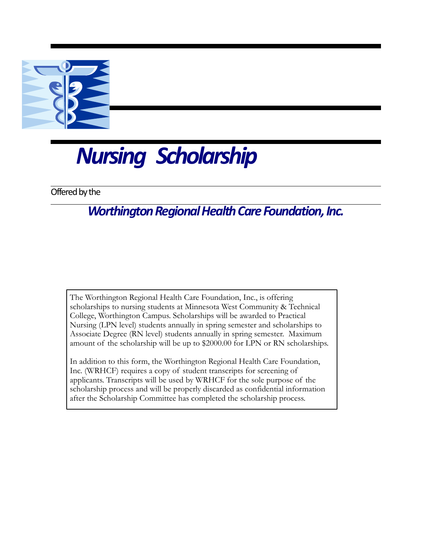

## *Nursing Scholarship*

Offered by the

## *Worthington Regional Health Care Foundation, Inc.*

The Worthington Regional Health Care Foundation, Inc., is offering scholarships to nursing students at Minnesota West Community & Technical College, Worthington Campus. Scholarships will be awarded to Practical Nursing (LPN level) students annually in spring semester and scholarships to Associate Degree (RN level) students annually in spring semester. Maximum amount of the scholarship will be up to \$2000.00 for LPN or RN scholarships.

In addition to this form, the Worthington Regional Health Care Foundation, Inc. (WRHCF) requires a copy of student transcripts for screening of applicants. Transcripts will be used by WRHCF for the sole purpose of the scholarship process and will be properly discarded as confidential information after the Scholarship Committee has completed the scholarship process.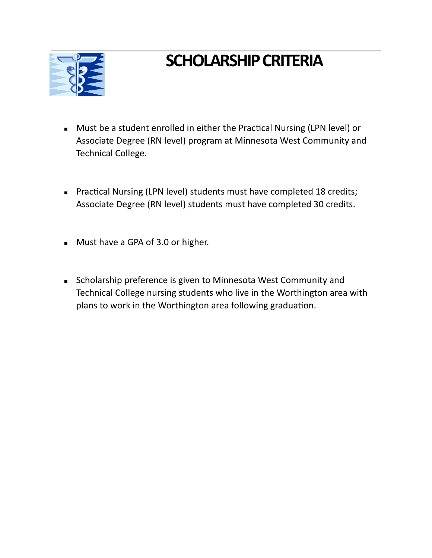

## **SCHOLARSHIP CRITERIA**

- Must be a student enrolled in either the Practical Nursing (LPN level) or Associate Degree (RN level) program at Minnesota West Community and Technical College.
- **EXECT:** Practical Nursing (LPN level) students must have completed 18 credits; Associate Degree (RN level) students must have completed 30 credits.
- Must have a GPA of 3.0 or higher.
- **EXECT** Scholarship preference is given to Minnesota West Community and Technical College nursing students who live in the Worthington area with plans to work in the Worthington area following graduation.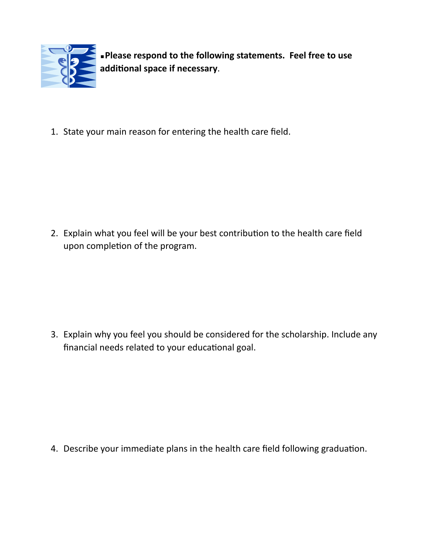

▪**Please respond to the following statements. Feel free to use**  additional space if necessary.

1. State your main reason for entering the health care field.

2. Explain what you feel will be your best contribution to the health care field upon completion of the program.

3. Explain why you feel you should be considered for the scholarship. Include any financial needs related to your educational goal.

4. Describe your immediate plans in the health care field following graduation.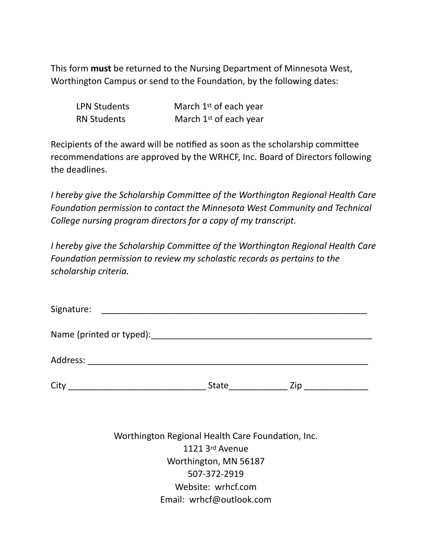This form **must** be returned to the Nursing Department of Minnesota West, Worthington Campus or send to the Foundation, by the following dates:

| <b>LPN Students</b> | March 1 <sup>st</sup> of each year |
|---------------------|------------------------------------|
| <b>RN Students</b>  | March 1 <sup>st</sup> of each year |

Recipients of the award will be notified as soon as the scholarship committee recommendations are approved by the WRHCF, Inc. Board of Directors following the deadlines.

*I* hereby give the Scholarship Committee of the Worthington Regional Health Care Foundation permission to contact the Minnesota West Community and Technical *College nursing program directors for a copy of my transcript.* 

*I* hereby give the Scholarship Committee of the Worthington Regional Health Care Foundation permission to review my scholastic records as pertains to the *scholarship criteria.* 

| Signature: |                                                                                                                |                    |
|------------|----------------------------------------------------------------------------------------------------------------|--------------------|
|            |                                                                                                                |                    |
|            |                                                                                                                |                    |
|            | State and the state of the state of the state of the state of the state of the state of the state of the state | Zip ______________ |

Worthington Regional Health Care Foundation, Inc. 1121 3rd Avenue Worthington, MN 56187 507-372-2919 Website: wrhcf.com Email: wrhcf@outlook.com